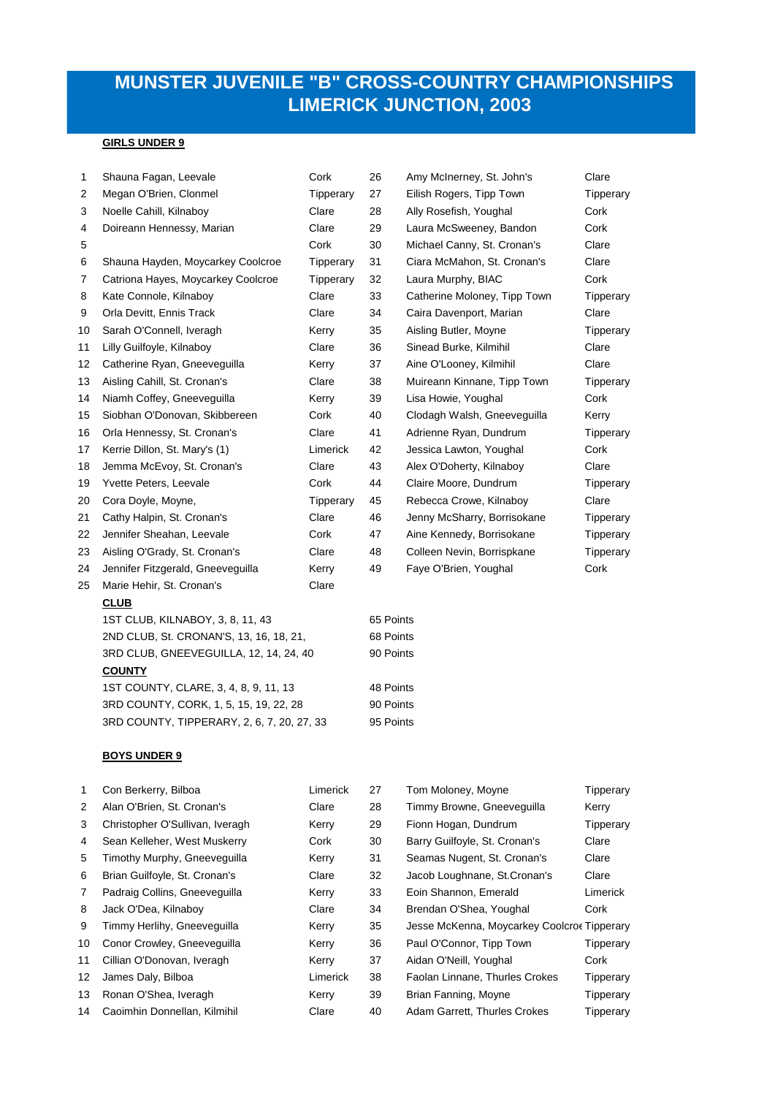# **MUNSTER JUVENILE "B" CROSS-COUNTRY CHAMPIONSHIPS LIMERICK JUNCTION, 2003**

# **GIRLS UNDER 9**

| 1              | Shauna Fagan, Leevale                  | Cork                                    | 26        | Amy McInerney, St. John's    | Clare     |  |  |
|----------------|----------------------------------------|-----------------------------------------|-----------|------------------------------|-----------|--|--|
| 2              | Megan O'Brien, Clonmel                 | Tipperary                               | 27        | Eilish Rogers, Tipp Town     | Tipperary |  |  |
| 3              | Noelle Cahill, Kilnaboy                | Clare                                   | 28        | Ally Rosefish, Youghal       | Cork      |  |  |
| 4              | Doireann Hennessy, Marian              | Clare                                   | 29        | Laura McSweeney, Bandon      | Cork      |  |  |
| 5              |                                        | Cork                                    | 30        | Michael Canny, St. Cronan's  | Clare     |  |  |
| 6              | Shauna Hayden, Moycarkey Coolcroe      | Tipperary                               | 31        | Ciara McMahon, St. Cronan's  | Clare     |  |  |
| $\overline{7}$ | Catriona Hayes, Moycarkey Coolcroe     | Tipperary                               | 32        | Laura Murphy, BIAC           | Cork      |  |  |
| 8              | Kate Connole, Kilnaboy                 | Clare                                   | 33        | Catherine Moloney, Tipp Town | Tipperary |  |  |
| 9              | Orla Devitt, Ennis Track               | Clare                                   | 34        | Caira Davenport, Marian      | Clare     |  |  |
| 10             | Sarah O'Connell, Iveragh               | Kerry                                   | 35        | Aisling Butler, Moyne        | Tipperary |  |  |
| 11             | Lilly Guilfoyle, Kilnaboy              | Clare                                   | 36        | Sinead Burke, Kilmihil       | Clare     |  |  |
| 12             | Catherine Ryan, Gneeveguilla           | Kerry                                   | 37        | Aine O'Looney, Kilmihil      | Clare     |  |  |
| 13             | Aisling Cahill, St. Cronan's           | Clare                                   | 38        | Muireann Kinnane, Tipp Town  | Tipperary |  |  |
| 14             | Niamh Coffey, Gneeveguilla             | Kerry                                   | 39        | Lisa Howie, Youghal          | Cork      |  |  |
| 15             | Siobhan O'Donovan, Skibbereen          | Cork                                    | 40        | Clodagh Walsh, Gneeveguilla  | Kerry     |  |  |
| 16             | Orla Hennessy, St. Cronan's            | Clare                                   | 41        | Adrienne Ryan, Dundrum       | Tipperary |  |  |
| 17             | Kerrie Dillon, St. Mary's (1)          | Limerick                                | 42        | Jessica Lawton, Youghal      | Cork      |  |  |
| 18             | Jemma McEvoy, St. Cronan's             | Clare                                   | 43        | Alex O'Doherty, Kilnaboy     | Clare     |  |  |
| 19             | Yvette Peters, Leevale                 | Cork                                    | 44        | Claire Moore, Dundrum        | Tipperary |  |  |
| 20             | Cora Doyle, Moyne,                     | Tipperary                               | 45        | Rebecca Crowe, Kilnaboy      | Clare     |  |  |
| 21             | Cathy Halpin, St. Cronan's             | Clare                                   | 46        | Jenny McSharry, Borrisokane  | Tipperary |  |  |
| 22             | Jennifer Sheahan, Leevale              | Cork                                    | 47        | Aine Kennedy, Borrisokane    | Tipperary |  |  |
| 23             | Aisling O'Grady, St. Cronan's          | Clare                                   | 48        | Colleen Nevin, Borrispkane   | Tipperary |  |  |
| 24             | Jennifer Fitzgerald, Gneeveguilla      | Kerry                                   | 49        | Faye O'Brien, Youghal        | Cork      |  |  |
| 25             | Marie Hehir, St. Cronan's              | Clare                                   |           |                              |           |  |  |
|                | <b>CLUB</b>                            |                                         |           |                              |           |  |  |
|                | 1ST CLUB, KILNABOY, 3, 8, 11, 43       |                                         | 65 Points |                              |           |  |  |
|                |                                        | 2ND CLUB, St. CRONAN'S, 13, 16, 18, 21, |           | 68 Points                    |           |  |  |
|                | 3RD CLUB, GNEEVEGUILLA, 12, 14, 24, 40 |                                         | 90 Points |                              |           |  |  |
|                | <b>COUNTY</b>                          |                                         |           |                              |           |  |  |
|                | 1ST COUNTY, CLARE, 3, 4, 8, 9, 11, 13  |                                         |           | 48 Points                    |           |  |  |

3RD COUNTY, TIPPERARY, 2, 6, 7, 20, 27, 33 95 Points

3RD COUNTY, CORK, 1, 5, 15, 19, 22, 28 90 Points

#### **BOYS UNDER 9**

| 1               | Con Berkerry, Bilboa            | Limerick | 27 | Tom Moloney, Moyne                          | Tipperary |
|-----------------|---------------------------------|----------|----|---------------------------------------------|-----------|
| 2               | Alan O'Brien, St. Cronan's      | Clare    | 28 | Timmy Browne, Gneeveguilla                  | Kerry     |
| 3               | Christopher O'Sullivan, Iveragh | Kerry    | 29 | Fionn Hogan, Dundrum                        | Tipperary |
| 4               | Sean Kelleher, West Muskerry    | Cork     | 30 | Barry Guilfoyle, St. Cronan's               | Clare     |
| 5               | Timothy Murphy, Gneeveguilla    | Kerry    | 31 | Seamas Nugent, St. Cronan's                 | Clare     |
| 6               | Brian Guilfoyle, St. Cronan's   | Clare    | 32 | Jacob Loughnane, St. Cronan's               | Clare     |
| $\overline{7}$  | Padraig Collins, Gneeveguilla   | Kerry    | 33 | Eoin Shannon, Emerald                       | Limerick  |
| 8               | Jack O'Dea, Kilnaboy            | Clare    | 34 | Brendan O'Shea, Youghal                     | Cork      |
| 9               | Timmy Herlihy, Gneeveguilla     | Kerry    | 35 | Jesse McKenna, Moycarkey Coolcroe Tipperary |           |
| 10              | Conor Crowley, Gneeveguilla     | Kerry    | 36 | Paul O'Connor, Tipp Town                    | Tipperary |
| 11              | Cillian O'Donovan, Iveragh      | Kerry    | 37 | Aidan O'Neill, Youghal                      | Cork      |
| 12 <sup>°</sup> | James Daly, Bilboa              | Limerick | 38 | Faolan Linnane, Thurles Crokes              | Tipperary |
| 13              | Ronan O'Shea, Iveragh           | Kerry    | 39 | Brian Fanning, Moyne                        | Tipperary |
| 14              | Caoimhin Donnellan, Kilmihil    | Clare    | 40 | Adam Garrett, Thurles Crokes                | Tipperary |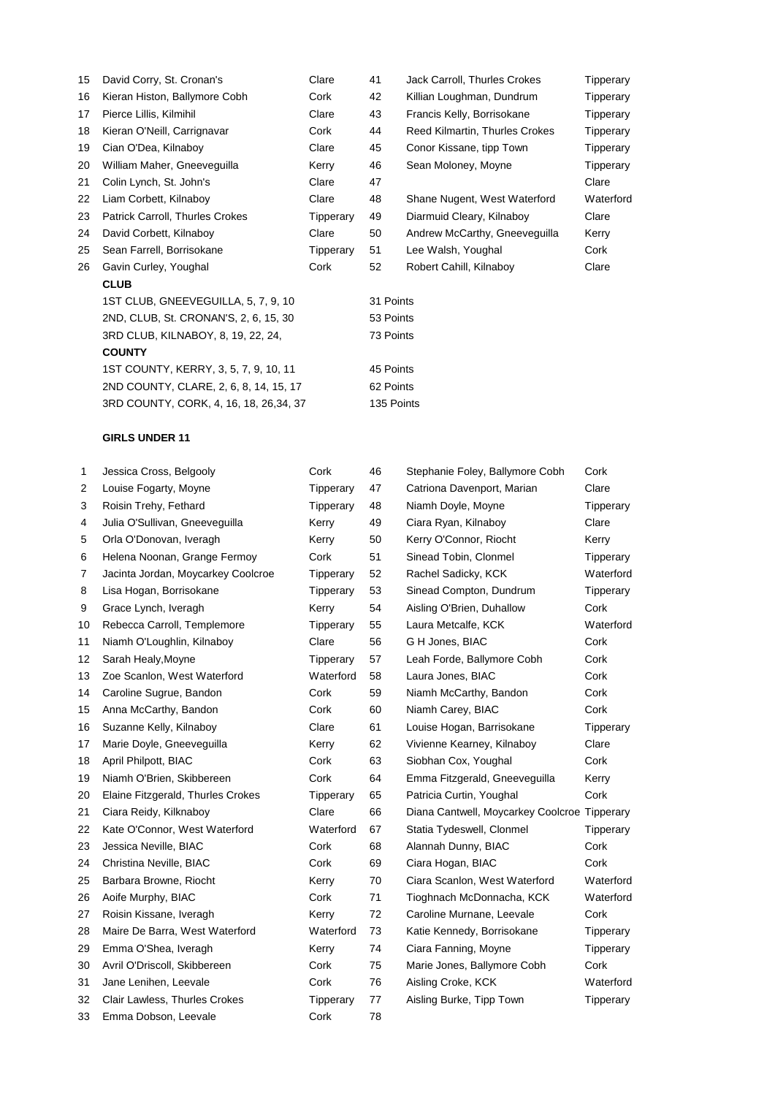| 15 | David Corry, St. Cronan's               | Clare     | 41         | Jack Carroll, Thurles Crokes   | Tipperary |  |
|----|-----------------------------------------|-----------|------------|--------------------------------|-----------|--|
| 16 | Kieran Histon, Ballymore Cobh           | Cork      | 42         | Killian Loughman, Dundrum      | Tipperary |  |
| 17 | Pierce Lillis, Kilmihil                 | Clare     | 43         | Francis Kelly, Borrisokane     | Tipperary |  |
| 18 | Kieran O'Neill, Carrignavar             | Cork      | 44         | Reed Kilmartin, Thurles Crokes | Tipperary |  |
| 19 | Cian O'Dea, Kilnaboy                    | Clare     | 45         | Conor Kissane, tipp Town       | Tipperary |  |
| 20 | William Maher, Gneeveguilla             | Kerry     | 46         | Sean Moloney, Moyne            | Tipperary |  |
| 21 | Colin Lynch, St. John's                 | Clare     | 47         |                                | Clare     |  |
| 22 | Liam Corbett, Kilnaboy                  | Clare     | 48         | Shane Nugent, West Waterford   | Waterford |  |
| 23 | Patrick Carroll, Thurles Crokes         | Tipperary | 49         | Diarmuid Cleary, Kilnaboy      | Clare     |  |
| 24 | David Corbett, Kilnaboy                 | Clare     | 50         | Andrew McCarthy, Gneeveguilla  | Kerry     |  |
| 25 | Sean Farrell, Borrisokane               | Tipperary | 51         | Lee Walsh, Youghal             | Cork      |  |
| 26 | Gavin Curley, Youghal                   | Cork      | 52         | Robert Cahill, Kilnaboy        | Clare     |  |
|    | <b>CLUB</b>                             |           |            |                                |           |  |
|    | 1ST CLUB, GNEEVEGUILLA, 5, 7, 9, 10     |           | 31 Points  |                                |           |  |
|    | 2ND, CLUB, St. CRONAN'S, 2, 6, 15, 30   |           | 53 Points  |                                |           |  |
|    | 3RD CLUB, KILNABOY, 8, 19, 22, 24,      |           | 73 Points  |                                |           |  |
|    | <b>COUNTY</b>                           |           |            |                                |           |  |
|    | 1ST COUNTY, KERRY, 3, 5, 7, 9, 10, 11   |           | 45 Points  |                                |           |  |
|    | 2ND COUNTY, CLARE, 2, 6, 8, 14, 15, 17  |           | 62 Points  |                                |           |  |
|    | 3RD COUNTY, CORK, 4, 16, 18, 26, 34, 37 |           | 135 Points |                                |           |  |

## **GIRLS UNDER 11**

| 1  | Jessica Cross, Belgooly            | Cork      | 46 | Stephanie Foley, Ballymore Cobh              | Cork      |
|----|------------------------------------|-----------|----|----------------------------------------------|-----------|
| 2  | Louise Fogarty, Moyne              | Tipperary | 47 | Catriona Davenport, Marian                   | Clare     |
| 3  | Roisin Trehy, Fethard              | Tipperary | 48 | Niamh Doyle, Moyne                           | Tipperary |
| 4  | Julia O'Sullivan, Gneeveguilla     | Kerry     | 49 | Ciara Ryan, Kilnaboy                         | Clare     |
| 5  | Orla O'Donovan, Iveragh            | Kerry     | 50 | Kerry O'Connor, Riocht                       | Kerry     |
| 6  | Helena Noonan, Grange Fermoy       | Cork      | 51 | Sinead Tobin, Clonmel                        | Tipperary |
| 7  | Jacinta Jordan, Moycarkey Coolcroe | Tipperary | 52 | Rachel Sadicky, KCK                          | Waterford |
| 8  | Lisa Hogan, Borrisokane            | Tipperary | 53 | Sinead Compton, Dundrum                      | Tipperary |
| 9  | Grace Lynch, Iveragh               | Kerry     | 54 | Aisling O'Brien, Duhallow                    | Cork      |
| 10 | Rebecca Carroll, Templemore        | Tipperary | 55 | Laura Metcalfe, KCK                          | Waterford |
| 11 | Niamh O'Loughlin, Kilnaboy         | Clare     | 56 | G H Jones, BIAC                              | Cork      |
| 12 | Sarah Healy, Moyne                 | Tipperary | 57 | Leah Forde, Ballymore Cobh                   | Cork      |
| 13 | Zoe Scanlon, West Waterford        | Waterford | 58 | Laura Jones, BIAC                            | Cork      |
| 14 | Caroline Sugrue, Bandon            | Cork      | 59 | Niamh McCarthy, Bandon                       | Cork      |
| 15 | Anna McCarthy, Bandon              | Cork      | 60 | Niamh Carey, BIAC                            | Cork      |
| 16 | Suzanne Kelly, Kilnaboy            | Clare     | 61 | Louise Hogan, Barrisokane                    | Tipperary |
| 17 | Marie Doyle, Gneeveguilla          | Kerry     | 62 | Vivienne Kearney, Kilnaboy                   | Clare     |
| 18 | April Philpott, BIAC               | Cork      | 63 | Siobhan Cox, Youghal                         | Cork      |
| 19 | Niamh O'Brien, Skibbereen          | Cork      | 64 | Emma Fitzgerald, Gneeveguilla                | Kerry     |
| 20 | Elaine Fitzgerald, Thurles Crokes  | Tipperary | 65 | Patricia Curtin, Youghal                     | Cork      |
| 21 | Ciara Reidy, Kilknaboy             | Clare     | 66 | Diana Cantwell, Moycarkey Coolcroe Tipperary |           |
| 22 | Kate O'Connor, West Waterford      | Waterford | 67 | Statia Tydeswell, Clonmel                    | Tipperary |
| 23 | Jessica Neville, BIAC              | Cork      | 68 | Alannah Dunny, BIAC                          | Cork      |
| 24 | Christina Neville, BIAC            | Cork      | 69 | Ciara Hogan, BIAC                            | Cork      |
| 25 | Barbara Browne, Riocht             | Kerry     | 70 | Ciara Scanlon, West Waterford                | Waterford |
| 26 | Aoife Murphy, BIAC                 | Cork      | 71 | Tioghnach McDonnacha, KCK                    | Waterford |
| 27 | Roisin Kissane, Iveragh            | Kerry     | 72 | Caroline Murnane, Leevale                    | Cork      |
| 28 | Maire De Barra, West Waterford     | Waterford | 73 | Katie Kennedy, Borrisokane                   | Tipperary |
| 29 | Emma O'Shea, Iveragh               | Kerry     | 74 | Ciara Fanning, Moyne                         | Tipperary |
| 30 | Avril O'Driscoll, Skibbereen       | Cork      | 75 | Marie Jones, Ballymore Cobh                  | Cork      |
| 31 | Jane Lenihen, Leevale              | Cork      | 76 | Aisling Croke, KCK                           | Waterford |
| 32 | Clair Lawless, Thurles Crokes      | Tipperary | 77 | Aisling Burke, Tipp Town                     | Tipperary |
| 33 | Emma Dobson, Leevale               | Cork      | 78 |                                              |           |
|    |                                    |           |    |                                              |           |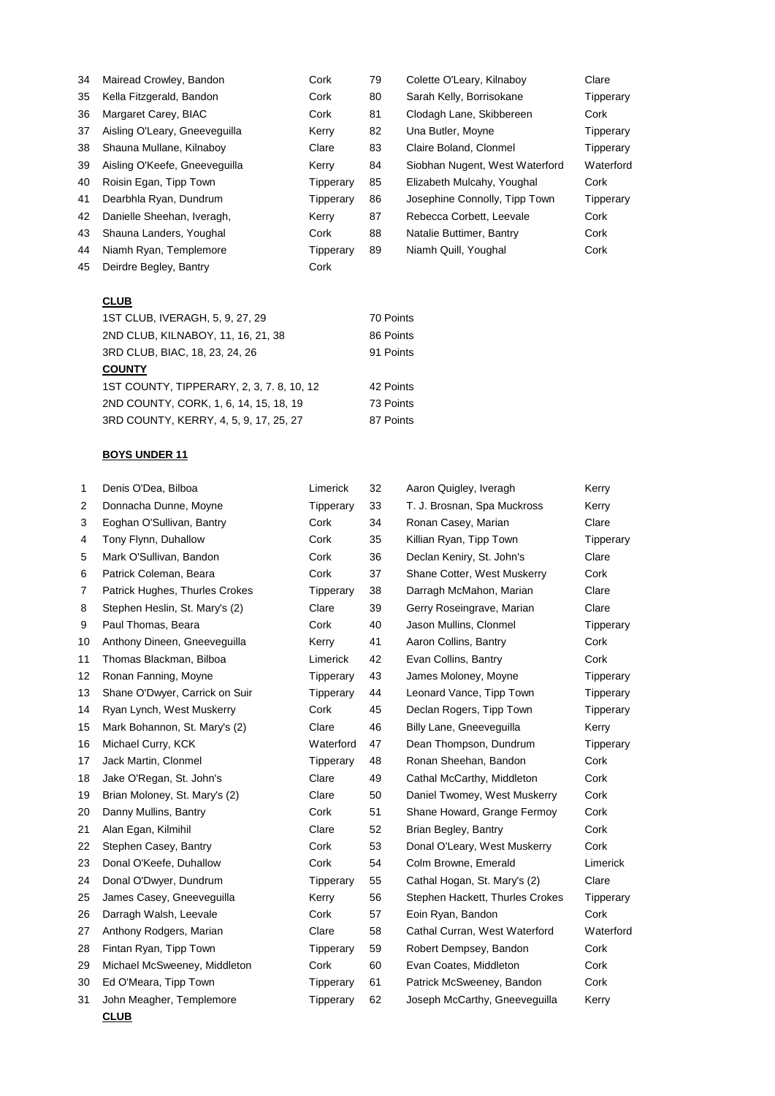| 34 | Mairead Crowley, Bandon       | Cork      | 79 | Colette O'Leary, Kilnaboy      | Clare     |
|----|-------------------------------|-----------|----|--------------------------------|-----------|
| 35 | Kella Fitzgerald, Bandon      | Cork      | 80 | Sarah Kelly, Borrisokane       | Tipperary |
| 36 | Margaret Carey, BIAC          | Cork      | 81 | Clodagh Lane, Skibbereen       | Cork      |
| 37 | Aisling O'Leary, Gneeveguilla | Kerry     | 82 | Una Butler, Moyne              | Tipperary |
| 38 | Shauna Mullane, Kilnaboy      | Clare     | 83 | Claire Boland, Clonmel         | Tipperary |
| 39 | Aisling O'Keefe, Gneeveguilla | Kerry     | 84 | Siobhan Nugent, West Waterford | Waterford |
| 40 | Roisin Egan, Tipp Town        | Tipperary | 85 | Elizabeth Mulcahy, Youghal     | Cork      |
| 41 | Dearbhla Ryan, Dundrum        | Tipperary | 86 | Josephine Connolly, Tipp Town  | Tipperary |
| 42 | Danielle Sheehan, Iveragh,    | Kerry     | 87 | Rebecca Corbett. Leevale       | Cork      |
| 43 | Shauna Landers, Youghal       | Cork      | 88 | Natalie Buttimer, Bantry       | Cork      |
| 44 | Niamh Ryan, Templemore        | Tipperary | 89 | Niamh Quill, Youghal           | Cork      |
| 45 | Deirdre Begley, Bantry        | Cork      |    |                                |           |
|    |                               |           |    |                                |           |

# **CLUB**

| 1ST CLUB, IVERAGH, 5, 9, 27, 29           | 70 Points |
|-------------------------------------------|-----------|
| 2ND CLUB, KILNABOY, 11, 16, 21, 38        | 86 Points |
| 3RD CLUB, BIAC, 18, 23, 24, 26            | 91 Points |
| <b>COUNTY</b>                             |           |
| 1ST COUNTY, TIPPERARY, 2, 3, 7, 8, 10, 12 | 42 Points |
| 2ND COUNTY, CORK, 1, 6, 14, 15, 18, 19    | 73 Points |
| 3RD COUNTY, KERRY, 4, 5, 9, 17, 25, 27    | 87 Points |

## **BOYS UNDER 11**

| 1  | Denis O'Dea, Bilboa            | Limerick  | 32 | Aaron Quigley, Iveragh          | Kerry     |
|----|--------------------------------|-----------|----|---------------------------------|-----------|
| 2  | Donnacha Dunne, Moyne          | Tipperary | 33 | T. J. Brosnan, Spa Muckross     | Kerry     |
| 3  | Eoghan O'Sullivan, Bantry      | Cork      | 34 | Ronan Casey, Marian             | Clare     |
| 4  | Tony Flynn, Duhallow           | Cork      | 35 | Killian Ryan, Tipp Town         | Tipperary |
| 5  | Mark O'Sullivan, Bandon        | Cork      | 36 | Declan Keniry, St. John's       | Clare     |
| 6  | Patrick Coleman, Beara         | Cork      | 37 | Shane Cotter, West Muskerry     | Cork      |
| 7  | Patrick Hughes, Thurles Crokes | Tipperary | 38 | Darragh McMahon, Marian         | Clare     |
| 8  | Stephen Heslin, St. Mary's (2) | Clare     | 39 | Gerry Roseingrave, Marian       | Clare     |
| 9  | Paul Thomas, Beara             | Cork      | 40 | Jason Mullins, Clonmel          | Tipperary |
| 10 | Anthony Dineen, Gneeveguilla   | Kerry     | 41 | Aaron Collins, Bantry           | Cork      |
| 11 | Thomas Blackman, Bilboa        | Limerick  | 42 | Evan Collins, Bantry            | Cork      |
| 12 | Ronan Fanning, Moyne           | Tipperary | 43 | James Moloney, Moyne            | Tipperary |
| 13 | Shane O'Dwyer, Carrick on Suir | Tipperary | 44 | Leonard Vance, Tipp Town        | Tipperary |
| 14 | Ryan Lynch, West Muskerry      | Cork      | 45 | Declan Rogers, Tipp Town        | Tipperary |
| 15 | Mark Bohannon, St. Mary's (2)  | Clare     | 46 | Billy Lane, Gneeveguilla        | Kerry     |
| 16 | Michael Curry, KCK             | Waterford | 47 | Dean Thompson, Dundrum          | Tipperary |
| 17 | Jack Martin, Clonmel           | Tipperary | 48 | Ronan Sheehan, Bandon           | Cork      |
| 18 | Jake O'Regan, St. John's       | Clare     | 49 | Cathal McCarthy, Middleton      | Cork      |
| 19 | Brian Moloney, St. Mary's (2)  | Clare     | 50 | Daniel Twomey, West Muskerry    | Cork      |
| 20 | Danny Mullins, Bantry          | Cork      | 51 | Shane Howard, Grange Fermoy     | Cork      |
| 21 | Alan Egan, Kilmihil            | Clare     | 52 | Brian Begley, Bantry            | Cork      |
| 22 | Stephen Casey, Bantry          | Cork      | 53 | Donal O'Leary, West Muskerry    | Cork      |
| 23 | Donal O'Keefe, Duhallow        | Cork      | 54 | Colm Browne, Emerald            | Limerick  |
| 24 | Donal O'Dwyer, Dundrum         | Tipperary | 55 | Cathal Hogan, St. Mary's (2)    | Clare     |
| 25 | James Casey, Gneeveguilla      | Kerry     | 56 | Stephen Hackett, Thurles Crokes | Tipperary |
| 26 | Darragh Walsh, Leevale         | Cork      | 57 | Eoin Ryan, Bandon               | Cork      |
| 27 | Anthony Rodgers, Marian        | Clare     | 58 | Cathal Curran, West Waterford   | Waterford |
| 28 | Fintan Ryan, Tipp Town         | Tipperary | 59 | Robert Dempsey, Bandon          | Cork      |
| 29 | Michael McSweeney, Middleton   | Cork      | 60 | Evan Coates, Middleton          | Cork      |
| 30 | Ed O'Meara, Tipp Town          | Tipperary | 61 | Patrick McSweeney, Bandon       | Cork      |
| 31 | John Meagher, Templemore       | Tipperary | 62 | Joseph McCarthy, Gneeveguilla   | Kerry     |
|    | <b>CLUB</b>                    |           |    |                                 |           |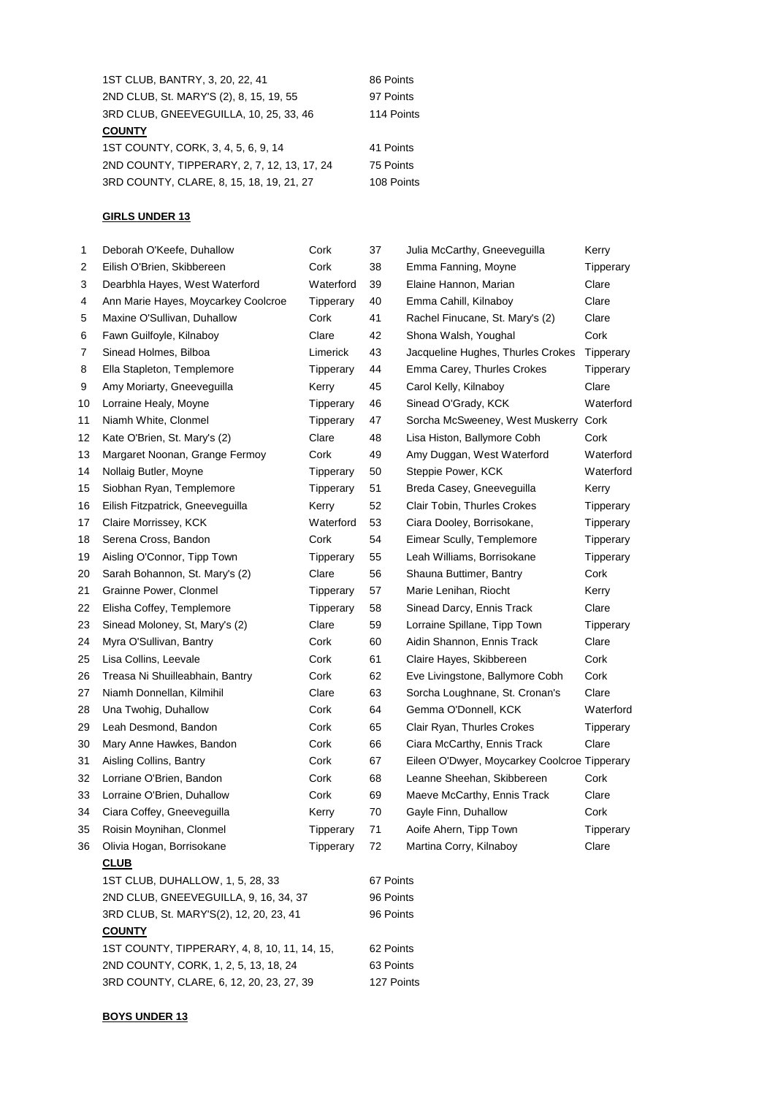| 1ST CLUB, BANTRY, 3, 20, 22, 41             | 86 Points  |
|---------------------------------------------|------------|
| 2ND CLUB, St. MARY'S (2), 8, 15, 19, 55     | 97 Points  |
| 3RD CLUB, GNEEVEGUILLA, 10, 25, 33, 46      | 114 Points |
| <b>COUNTY</b>                               |            |
| 1ST COUNTY, CORK, 3, 4, 5, 6, 9, 14         | 41 Points  |
| 2ND COUNTY, TIPPERARY, 2, 7, 12, 13, 17, 24 | 75 Points  |
| 3RD COUNTY, CLARE, 8, 15, 18, 19, 21, 27    | 108 Points |

# **GIRLS UNDER 13**

| 1  | Deborah O'Keefe, Duhallow                    | Cork      | 37        | Julia McCarthy, Gneeveguilla                 | Kerry     |  |
|----|----------------------------------------------|-----------|-----------|----------------------------------------------|-----------|--|
| 2  | Eilish O'Brien, Skibbereen                   | Cork      | 38        | Emma Fanning, Moyne                          | Tipperary |  |
| 3  | Dearbhla Hayes, West Waterford               | Waterford | 39        | Elaine Hannon, Marian                        | Clare     |  |
| 4  | Ann Marie Hayes, Moycarkey Coolcroe          | Tipperary | 40        | Emma Cahill, Kilnaboy                        | Clare     |  |
| 5  | Maxine O'Sullivan, Duhallow                  | Cork      | 41        | Rachel Finucane, St. Mary's (2)              | Clare     |  |
| 6  | Fawn Guilfoyle, Kilnaboy                     | Clare     | 42        | Shona Walsh, Youghal                         | Cork      |  |
| 7  | Sinead Holmes, Bilboa                        | Limerick  | 43        | Jacqueline Hughes, Thurles Crokes            | Tipperary |  |
| 8  | Ella Stapleton, Templemore                   | Tipperary | 44        | Emma Carey, Thurles Crokes                   | Tipperary |  |
| 9  | Amy Moriarty, Gneeveguilla                   | Kerry     | 45        | Carol Kelly, Kilnaboy                        | Clare     |  |
| 10 | Lorraine Healy, Moyne                        | Tipperary | 46        | Sinead O'Grady, KCK                          | Waterford |  |
| 11 | Niamh White, Clonmel                         | Tipperary | 47        | Sorcha McSweeney, West Muskerry              | Cork      |  |
| 12 | Kate O'Brien, St. Mary's (2)                 | Clare     | 48        | Lisa Histon, Ballymore Cobh                  | Cork      |  |
| 13 | Margaret Noonan, Grange Fermoy               | Cork      | 49        | Amy Duggan, West Waterford                   | Waterford |  |
| 14 | Nollaig Butler, Moyne                        | Tipperary | 50        | Steppie Power, KCK                           | Waterford |  |
| 15 | Siobhan Ryan, Templemore                     | Tipperary | 51        | Breda Casey, Gneeveguilla                    | Kerry     |  |
| 16 | Eilish Fitzpatrick, Gneeveguilla             | Kerry     | 52        | Clair Tobin, Thurles Crokes                  | Tipperary |  |
| 17 | Claire Morrissey, KCK                        | Waterford | 53        | Ciara Dooley, Borrisokane,                   | Tipperary |  |
| 18 | Serena Cross, Bandon                         | Cork      | 54        | Eimear Scully, Templemore                    | Tipperary |  |
| 19 | Aisling O'Connor, Tipp Town                  | Tipperary | 55        | Leah Williams, Borrisokane                   | Tipperary |  |
| 20 | Sarah Bohannon, St. Mary's (2)               | Clare     | 56        | Shauna Buttimer, Bantry                      | Cork      |  |
| 21 | Grainne Power, Clonmel                       | Tipperary | 57        | Marie Lenihan, Riocht                        | Kerry     |  |
| 22 | Elisha Coffey, Templemore                    | Tipperary | 58        | Sinead Darcy, Ennis Track                    | Clare     |  |
| 23 | Sinead Moloney, St, Mary's (2)               | Clare     | 59        | Lorraine Spillane, Tipp Town                 | Tipperary |  |
| 24 | Myra O'Sullivan, Bantry                      | Cork      | 60        | Aidin Shannon, Ennis Track                   | Clare     |  |
| 25 | Lisa Collins, Leevale                        | Cork      | 61        | Claire Hayes, Skibbereen                     | Cork      |  |
| 26 | Treasa Ni Shuilleabhain, Bantry              | Cork      | 62        | Eve Livingstone, Ballymore Cobh              | Cork      |  |
| 27 | Niamh Donnellan, Kilmihil                    | Clare     | 63        | Sorcha Loughnane, St. Cronan's               | Clare     |  |
| 28 | Una Twohig, Duhallow                         | Cork      | 64        | Gemma O'Donnell, KCK                         | Waterford |  |
| 29 | Leah Desmond, Bandon                         | Cork      | 65        | Clair Ryan, Thurles Crokes                   | Tipperary |  |
| 30 | Mary Anne Hawkes, Bandon                     | Cork      | 66        | Ciara McCarthy, Ennis Track                  | Clare     |  |
| 31 | Aisling Collins, Bantry                      | Cork      | 67        | Eileen O'Dwyer, Moycarkey Coolcroe Tipperary |           |  |
| 32 | Lorriane O'Brien, Bandon                     | Cork      | 68        | Leanne Sheehan, Skibbereen                   | Cork      |  |
| 33 | Lorraine O'Brien, Duhallow                   | Cork      | 69        | Maeve McCarthy, Ennis Track                  | Clare     |  |
| 34 | Ciara Coffey, Gneeveguilla                   | Kerry     | 70        | Gayle Finn, Duhallow                         | Cork      |  |
| 35 | Roisin Moynihan, Clonmel                     | Tipperary | 71        | Aoife Ahern, Tipp Town                       | Tipperary |  |
| 36 | Olivia Hogan, Borrisokane                    | Tipperary | 72        | Martina Corry, Kilnaboy                      | Clare     |  |
|    | <b>CLUB</b>                                  |           |           |                                              |           |  |
|    | 1ST CLUB, DUHALLOW, 1, 5, 28, 33             |           | 67 Points |                                              |           |  |
|    | 2ND CLUB, GNEEVEGUILLA, 9, 16, 34, 37        |           | 96 Points |                                              |           |  |
|    | 3RD CLUB, St. MARY'S(2), 12, 20, 23, 41      |           | 96 Points |                                              |           |  |
|    | <b>COUNTY</b>                                |           |           |                                              |           |  |
|    | 1ST COUNTY, TIPPERARY, 4, 8, 10, 11, 14, 15, |           | 62 Points |                                              |           |  |
|    | 2ND COUNTY, CORK, 1, 2, 5, 13, 18, 24        |           | 63 Points |                                              |           |  |

## **BOYS UNDER 13**

3RD COUNTY, CLARE, 6, 12, 20, 23, 27, 39 127 Points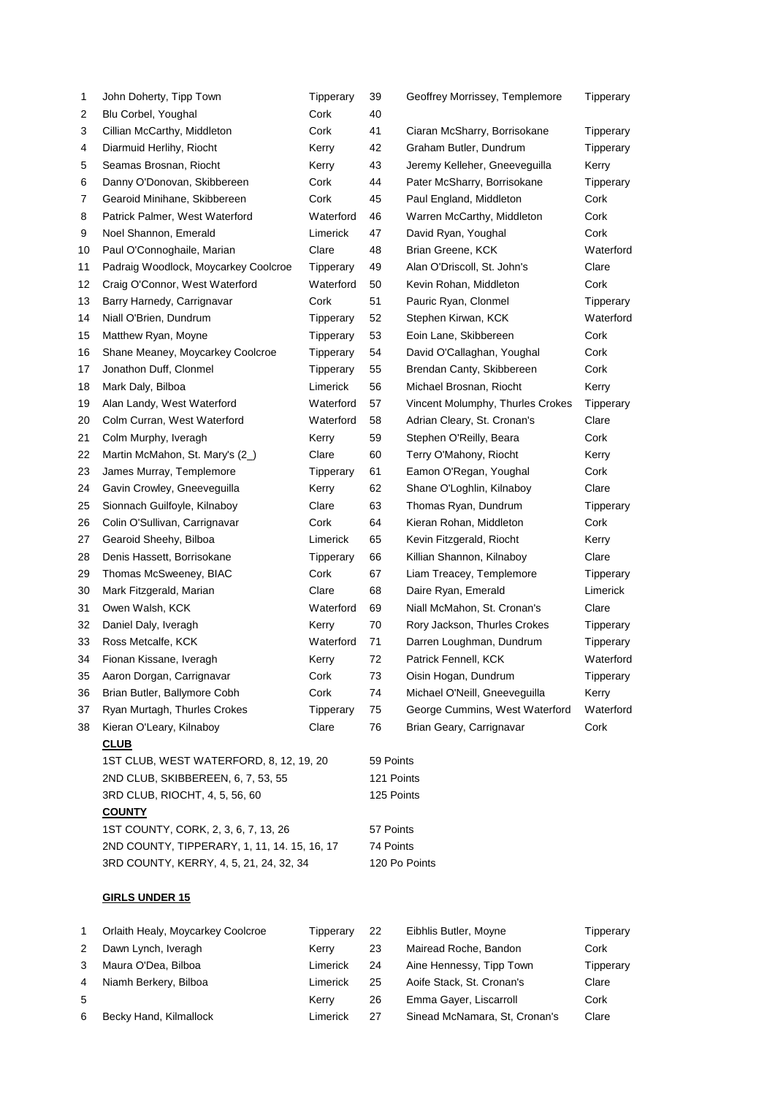| 1  | John Doherty, Tipp Town                 | Tipperary | 39         | Geoffrey Morrissey, Templemore   | Tipperary |  |
|----|-----------------------------------------|-----------|------------|----------------------------------|-----------|--|
| 2  | Blu Corbel, Youghal                     | Cork      | 40         |                                  |           |  |
| 3  | Cillian McCarthy, Middleton             | Cork      | 41         | Ciaran McSharry, Borrisokane     | Tipperary |  |
| 4  | Diarmuid Herlihy, Riocht                | Kerry     | 42         | Graham Butler, Dundrum           | Tipperary |  |
| 5  | Seamas Brosnan, Riocht                  | Kerry     | 43         | Jeremy Kelleher, Gneeveguilla    | Kerry     |  |
| 6  | Danny O'Donovan, Skibbereen             | Cork      | 44         | Pater McSharry, Borrisokane      | Tipperary |  |
| 7  | Gearoid Minihane, Skibbereen            | Cork      | 45         | Paul England, Middleton          | Cork      |  |
| 8  | Patrick Palmer, West Waterford          | Waterford | 46         | Warren McCarthy, Middleton       | Cork      |  |
| 9  | Noel Shannon, Emerald                   | Limerick  | 47         | David Ryan, Youghal              | Cork      |  |
| 10 | Paul O'Connoghaile, Marian              | Clare     | 48         | Brian Greene, KCK                | Waterford |  |
| 11 | Padraig Woodlock, Moycarkey Coolcroe    | Tipperary | 49         | Alan O'Driscoll, St. John's      | Clare     |  |
| 12 | Craig O'Connor, West Waterford          | Waterford | 50         | Kevin Rohan, Middleton           | Cork      |  |
| 13 | Barry Harnedy, Carrignavar              | Cork      | 51         | Pauric Ryan, Clonmel             | Tipperary |  |
| 14 | Niall O'Brien, Dundrum                  | Tipperary | 52         | Stephen Kirwan, KCK              | Waterford |  |
| 15 | Matthew Ryan, Moyne                     | Tipperary | 53         | Eoin Lane, Skibbereen            | Cork      |  |
| 16 | Shane Meaney, Moycarkey Coolcroe        | Tipperary | 54         | David O'Callaghan, Youghal       | Cork      |  |
| 17 | Jonathon Duff, Clonmel                  | Tipperary | 55         | Brendan Canty, Skibbereen        | Cork      |  |
| 18 | Mark Daly, Bilboa                       | Limerick  | 56         | Michael Brosnan, Riocht          | Kerry     |  |
| 19 | Alan Landy, West Waterford              | Waterford | 57         | Vincent Molumphy, Thurles Crokes | Tipperary |  |
| 20 | Colm Curran, West Waterford             | Waterford | 58         | Adrian Cleary, St. Cronan's      | Clare     |  |
| 21 | Colm Murphy, Iveragh                    | Kerry     | 59         | Stephen O'Reilly, Beara          | Cork      |  |
| 22 | Martin McMahon, St. Mary's (2)          | Clare     | 60         | Terry O'Mahony, Riocht           | Kerry     |  |
| 23 | James Murray, Templemore                | Tipperary | 61         | Eamon O'Regan, Youghal           | Cork      |  |
| 24 | Gavin Crowley, Gneeveguilla             | Kerry     | 62         | Shane O'Loghlin, Kilnaboy        | Clare     |  |
| 25 | Sionnach Guilfoyle, Kilnaboy            | Clare     | 63         | Thomas Ryan, Dundrum             | Tipperary |  |
| 26 | Colin O'Sullivan, Carrignavar           | Cork      | 64         | Kieran Rohan, Middleton          | Cork      |  |
| 27 | Gearoid Sheehy, Bilboa                  | Limerick  | 65         | Kevin Fitzgerald, Riocht         | Kerry     |  |
| 28 | Denis Hassett, Borrisokane              | Tipperary | 66         | Killian Shannon, Kilnaboy        | Clare     |  |
| 29 | Thomas McSweeney, BIAC                  | Cork      | 67         | Liam Treacey, Templemore         | Tipperary |  |
| 30 | Mark Fitzgerald, Marian                 | Clare     | 68         | Daire Ryan, Emerald              | Limerick  |  |
| 31 | Owen Walsh, KCK                         | Waterford | 69         | Niall McMahon, St. Cronan's      | Clare     |  |
| 32 | Daniel Daly, Iveragh                    | Kerry     | 70         | Rory Jackson, Thurles Crokes     | Tipperary |  |
| 33 | Ross Metcalfe, KCK                      | Waterford | 71         | Darren Loughman, Dundrum         | Tipperary |  |
| 34 | Fionan Kissane, Iveragh                 | Kerry     | 72         | Patrick Fennell, KCK             | Waterford |  |
| 35 | Aaron Dorgan, Carrignavar               | Cork      | 73         | Oisin Hogan, Dundrum             | Tipperary |  |
| 36 | Brian Butler, Ballymore Cobh            | Cork      | 74         | Michael O'Neill, Gneeveguilla    | Kerry     |  |
| 37 | Ryan Murtagh, Thurles Crokes            | Tipperary | 75         | George Cummins, West Waterford   | Waterford |  |
| 38 | Kieran O'Leary, Kilnaboy                | Clare     | 76         | Brian Geary, Carrignavar         | Cork      |  |
|    | <b>CLUB</b>                             |           |            |                                  |           |  |
|    | 1ST CLUB, WEST WATERFORD, 8, 12, 19, 20 |           | 59 Points  |                                  |           |  |
|    | 2ND CLUB, SKIBBEREEN, 6, 7, 53, 55      |           | 121 Points |                                  |           |  |

3RD CLUB, RIOCHT, 4, 5, 56, 60 125 Points **COUNTY** 1ST COUNTY, CORK, 2, 3, 6, 7, 13, 26 57 Points

2ND COUNTY, TIPPERARY, 1, 11, 14. 15, 16, 17 74 Points 3RD COUNTY, KERRY, 4, 5, 21, 24, 32, 34 120 Points

# **GIRLS UNDER 15**

|    | Orlaith Healy, Moycarkey Coolcroe | Tipperarv | 22 | Eibhlis Butler, Moyne         | Tipperary |
|----|-----------------------------------|-----------|----|-------------------------------|-----------|
| 2  | Dawn Lynch, Iveragh               | Kerry     | 23 | Mairead Roche, Bandon         | Cork      |
| 3  | Maura O'Dea, Bilboa               | Limerick  | 24 | Aine Hennessy, Tipp Town      | Tipperary |
| 4  | Niamh Berkery, Bilboa             | Limerick  | 25 | Aoife Stack, St. Cronan's     | Clare     |
| 5. |                                   | Kerry     | 26 | Emma Gayer, Liscarroll        | Cork      |
| 6. | Becky Hand, Kilmallock            | Limerick  | 27 | Sinead McNamara, St. Cronan's | Clare     |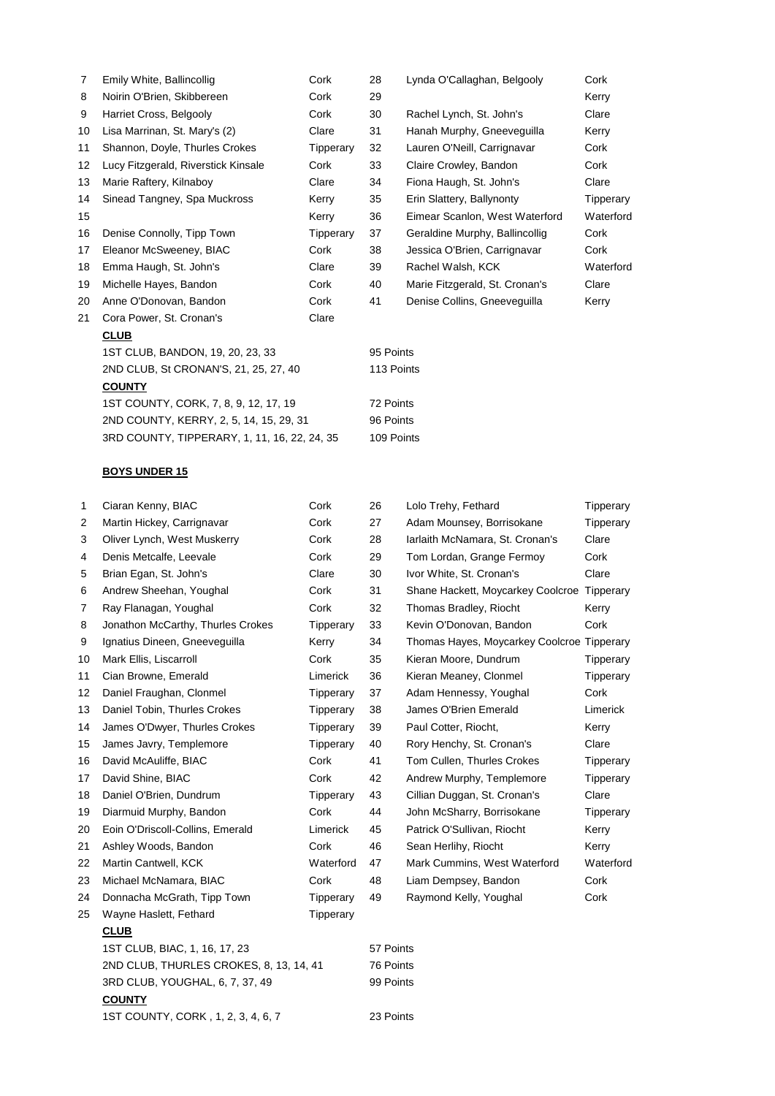| 7                 | Emily White, Ballincollig                    | Cork      | 28         | Lynda O'Callaghan, Belgooly    | Cork      |  |
|-------------------|----------------------------------------------|-----------|------------|--------------------------------|-----------|--|
| 8                 | Noirin O'Brien, Skibbereen                   | Cork      | 29         |                                | Kerry     |  |
| 9                 | Harriet Cross, Belgooly                      | Cork      | 30         | Rachel Lynch, St. John's       | Clare     |  |
| 10                | Lisa Marrinan, St. Mary's (2)                | Clare     | 31         | Hanah Murphy, Gneeveguilla     | Kerry     |  |
| 11                | Shannon, Doyle, Thurles Crokes               | Tipperary | 32         | Lauren O'Neill, Carrignavar    | Cork      |  |
| $12 \overline{ }$ | Lucy Fitzgerald, Riverstick Kinsale          | Cork      | 33         | Claire Crowley, Bandon         | Cork      |  |
| 13                | Marie Raftery, Kilnaboy                      | Clare     | 34         | Fiona Haugh, St. John's        | Clare     |  |
| 14                | Sinead Tangney, Spa Muckross                 | Kerry     | 35         | Erin Slattery, Ballynonty      | Tipperary |  |
| 15                |                                              | Kerry     | 36         | Eimear Scanlon, West Waterford | Waterford |  |
| 16                | Denise Connolly, Tipp Town                   | Tipperary | 37         | Geraldine Murphy, Ballincollig | Cork      |  |
| 17                | Eleanor McSweeney, BIAC                      | Cork      | 38         | Jessica O'Brien, Carrignavar   | Cork      |  |
| 18                | Emma Haugh, St. John's                       | Clare     | 39         | Rachel Walsh, KCK              | Waterford |  |
| 19                | Michelle Hayes, Bandon                       | Cork      | 40         | Marie Fitzgerald, St. Cronan's | Clare     |  |
| 20                | Anne O'Donovan, Bandon                       | Cork      | 41         | Denise Collins, Gneeveguilla   | Kerry     |  |
| 21                | Cora Power, St. Cronan's                     | Clare     |            |                                |           |  |
|                   | <b>CLUB</b>                                  |           |            |                                |           |  |
|                   | 1ST CLUB, BANDON, 19, 20, 23, 33             |           |            | 95 Points                      |           |  |
|                   | 2ND CLUB, St CRONAN'S, 21, 25, 27, 40        |           | 113 Points |                                |           |  |
|                   | <b>COUNTY</b>                                |           |            |                                |           |  |
|                   | 1ST COUNTY, CORK, 7, 8, 9, 12, 17, 19        |           | 72 Points  |                                |           |  |
|                   | 2ND COUNTY, KERRY, 2, 5, 14, 15, 29, 31      |           | 96 Points  |                                |           |  |
|                   | 3RD COUNTY, TIPPERARY, 1, 11, 16, 22, 24, 35 |           | 109 Points |                                |           |  |
|                   |                                              |           |            |                                |           |  |

## **BOYS UNDER 15**

**COUNTY**

| 1  | Ciaran Kenny, BIAC                      | Cork      | 26        | Lolo Trehy, Fethard                        | Tipperary |  |
|----|-----------------------------------------|-----------|-----------|--------------------------------------------|-----------|--|
| 2  | Martin Hickey, Carrignavar              | Cork      | 27        | Adam Mounsey, Borrisokane                  | Tipperary |  |
| 3  | Oliver Lynch, West Muskerry             | Cork      | 28        | Iarlaith McNamara, St. Cronan's            | Clare     |  |
| 4  | Denis Metcalfe, Leevale                 | Cork      | 29        | Tom Lordan, Grange Fermoy                  | Cork      |  |
| 5  | Brian Egan, St. John's                  | Clare     | 30        | Ivor White, St. Cronan's                   | Clare     |  |
| 6  | Andrew Sheehan, Youghal                 | Cork      | 31        | Shane Hackett, Moycarkey Coolcroe          | Tipperary |  |
| 7  | Ray Flanagan, Youghal                   | Cork      | 32        | Thomas Bradley, Riocht                     | Kerry     |  |
| 8  | Jonathon McCarthy, Thurles Crokes       | Tipperary | 33        | Kevin O'Donovan, Bandon                    | Cork      |  |
| 9  | Ignatius Dineen, Gneeveguilla           | Kerry     | 34        | Thomas Hayes, Moycarkey Coolcroe Tipperary |           |  |
| 10 | Mark Ellis, Liscarroll                  | Cork      | 35        | Kieran Moore, Dundrum                      | Tipperary |  |
| 11 | Cian Browne, Emerald                    | Limerick  | 36        | Kieran Meaney, Clonmel                     | Tipperary |  |
| 12 | Daniel Fraughan, Clonmel                | Tipperary | 37        | Adam Hennessy, Youghal                     | Cork      |  |
| 13 | Daniel Tobin, Thurles Crokes            | Tipperary | 38        | James O'Brien Emerald                      | Limerick  |  |
| 14 | James O'Dwyer, Thurles Crokes           | Tipperary | 39        | Paul Cotter, Riocht,                       | Kerry     |  |
| 15 | James Javry, Templemore                 | Tipperary | 40        | Rory Henchy, St. Cronan's                  | Clare     |  |
| 16 | David McAuliffe, BIAC                   | Cork      | 41        | Tom Cullen, Thurles Crokes                 | Tipperary |  |
| 17 | David Shine, BIAC                       | Cork      | 42        | Andrew Murphy, Templemore                  | Tipperary |  |
| 18 | Daniel O'Brien, Dundrum                 | Tipperary | 43        | Cillian Duggan, St. Cronan's               | Clare     |  |
| 19 | Diarmuid Murphy, Bandon                 | Cork      | 44        | John McSharry, Borrisokane                 | Tipperary |  |
| 20 | Eoin O'Driscoll-Collins, Emerald        | Limerick  | 45        | Patrick O'Sullivan, Riocht                 | Kerry     |  |
| 21 | Ashley Woods, Bandon                    | Cork      | 46        | Sean Herlihy, Riocht                       | Kerry     |  |
| 22 | Martin Cantwell, KCK                    | Waterford | 47        | Mark Cummins, West Waterford               | Waterford |  |
| 23 | Michael McNamara, BIAC                  | Cork      | 48        | Liam Dempsey, Bandon                       | Cork      |  |
| 24 | Donnacha McGrath, Tipp Town             | Tipperary | 49        | Raymond Kelly, Youghal                     | Cork      |  |
| 25 | Wayne Haslett, Fethard                  | Tipperary |           |                                            |           |  |
|    | <b>CLUB</b>                             |           |           |                                            |           |  |
|    | 1ST CLUB, BIAC, 1, 16, 17, 23           |           | 57 Points |                                            |           |  |
|    | 2ND CLUB, THURLES CROKES, 8, 13, 14, 41 |           | 76 Points |                                            |           |  |

3RD CLUB, YOUGHAL, 6, 7, 37, 49 99 Points

1ST COUNTY, CORK , 1, 2, 3, 4, 6, 7 23 Points